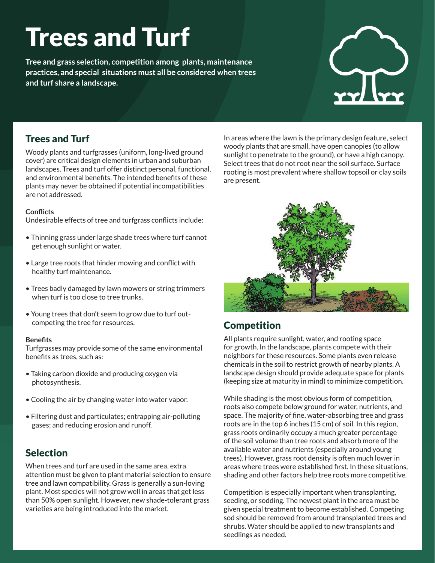# Trees and Turf

**Tree and grass selection, competition among plants, maintenance practices, and special situations must all be considered when trees and turf share a landscape.**

## Trees and Turf

Woody plants and turfgrasses (uniform, long-lived ground cover) are critical design elements in urban and suburban landscapes. Trees and turf offer distinct personal, functional, and environmental benefits. The intended benefits of these plants may never be obtained if potential incompatibilities are not addressed.

#### **Conflicts**

Undesirable effects of tree and turfgrass conflicts include:

- Thinning grass under large shade trees where turf cannot get enough sunlight or water.
- Large tree roots that hinder mowing and conflict with healthy turf maintenance.
- Trees badly damaged by lawn mowers or string trimmers when turf is too close to tree trunks.
- Young trees that don't seem to grow due to turf outcompeting the tree for resources.

#### **Benefits**

Turfgrasses may provide some of the same environmental benefits as trees, such as:

- Taking carbon dioxide and producing oxygen via photosynthesis.
- Cooling the air by changing water into water vapor.
- Filtering dust and particulates; entrapping air-polluting gases; and reducing erosion and runoff.

#### Selection

When trees and turf are used in the same area, extra attention must be given to plant material selection to ensure tree and lawn compatibility. Grass is generally a sun-loving plant. Most species will not grow well in areas that get less than 50% open sunlight. However, new shade-tolerant grass varieties are being introduced into the market.

In areas where the lawn is the primary design feature, select woody plants that are small, have open canopies (to allow sunlight to penetrate to the ground), or have a high canopy. Select trees that do not root near the soil surface. Surface rooting is most prevalent where shallow topsoil or clay soils are present.



# **Competition**

All plants require sunlight, water, and rooting space for growth. In the landscape, plants compete with their neighbors for these resources. Some plants even release chemicals in the soil to restrict growth of nearby plants. A landscape design should provide adequate space for plants (keeping size at maturity in mind) to minimize competition.

While shading is the most obvious form of competition, roots also compete below ground for water, nutrients, and space. The majority of fine, water-absorbing tree and grass roots are in the top 6 inches (15 cm) of soil. In this region, grass roots ordinarily occupy a much greater percentage of the soil volume than tree roots and absorb more of the available water and nutrients (especially around young trees). However, grass root density is often much lower in areas where trees were established first. In these situations, shading and other factors help tree roots more competitive.

Competition is especially important when transplanting, seeding, or sodding. The newest plant in the area must be given special treatment to become established. Competing sod should be removed from around transplanted trees and shrubs. Water should be applied to new transplants and seedlings as needed.